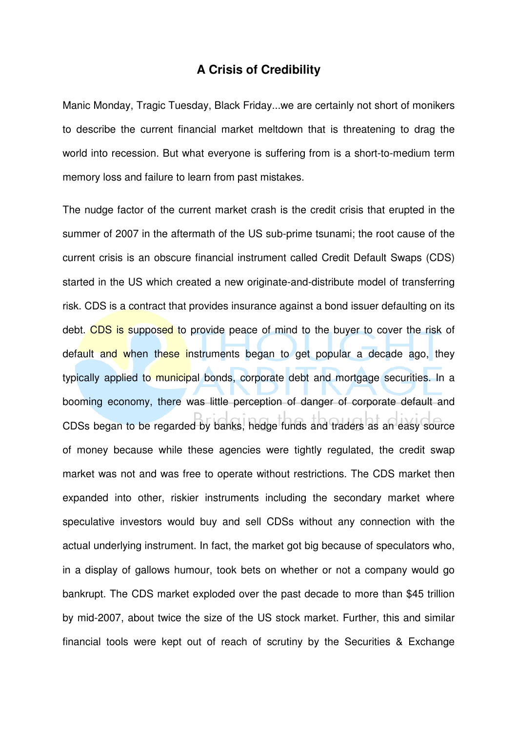## **A Crisis of Credibility**

Manic Monday, Tragic Tuesday, Black Friday...we are certainly not short of monikers to describe the current financial market meltdown that is threatening to drag the world into recession. But what everyone is suffering from is a short-to-medium term memory loss and failure to learn from past mistakes.

The nudge factor of the current market crash is the credit crisis that erupted in the summer of 2007 in the aftermath of the US sub-prime tsunami; the root cause of the current crisis is an obscure financial instrument called Credit Default Swaps (CDS) started in the US which created a new originate-and-distribute model of transferring risk. CDS is a contract that provides insurance against a bond issuer defaulting on its debt. CDS is supposed to provide peace of mind to the buyer to cover the risk of default and when these instruments began to get popular a decade ago, they typically applied to municipal bonds, corporate debt and mortgage securities. In a booming economy, there was little perception of danger of corporate default and CDSs began to be regarded by banks, hedge funds and traders as an easy source of money because while these agencies were tightly regulated, the credit swap market was not and was free to operate without restrictions. The CDS market then expanded into other, riskier instruments including the secondary market where speculative investors would buy and sell CDSs without any connection with the actual underlying instrument. In fact, the market got big because of speculators who, in a display of gallows humour, took bets on whether or not a company would go bankrupt. The CDS market exploded over the past decade to more than \$45 trillion by mid-2007, about twice the size of the US stock market. Further, this and similar financial tools were kept out of reach of scrutiny by the Securities & Exchange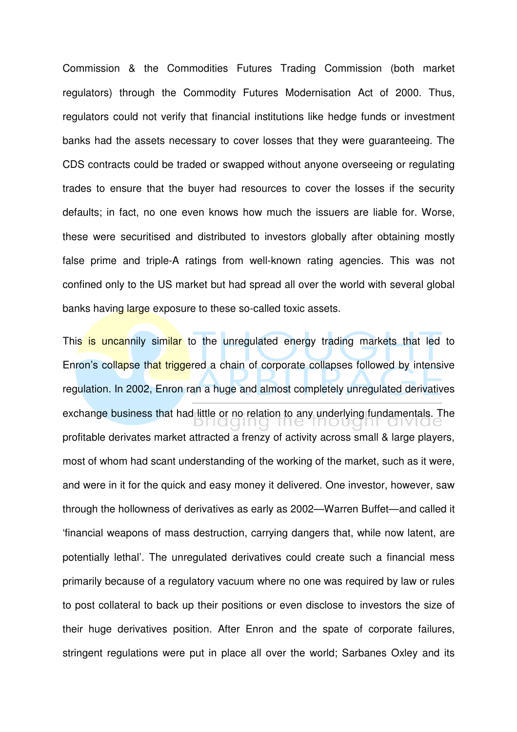Commission & the Commodities Futures Trading Commission (both market regulators) through the Commodity Futures Modernisation Act of 2000. Thus, regulators could not verify that financial institutions like hedge funds or investment banks had the assets necessary to cover losses that they were guaranteeing. The CDS contracts could be traded or swapped without anyone overseeing or regulating trades to ensure that the buyer had resources to cover the losses if the security defaults; in fact, no one even knows how much the issuers are liable for. Worse, these were securitised and distributed to investors globally after obtaining mostly false prime and triple-A ratings from well-known rating agencies. This was not confined only to the US market but had spread all over the world with several global banks having large exposure to these so-called toxic assets.

This is uncannily similar to the unregulated energy trading markets that led to Enron's collapse that triggered a chain of corporate collapses followed by intensive regulation. In 2002, Enron ran a huge and almost completely unregulated derivatives exchange business that had little or no relation to any underlying fundamentals. The profitable derivates market attracted a frenzy of activity across small & large players, most of whom had scant understanding of the working of the market, such as it were, and were in it for the quick and easy money it delivered. One investor, however, saw through the hollowness of derivatives as early as 2002—Warren Buffet—and called it 'financial weapons of mass destruction, carrying dangers that, while now latent, are potentially lethal'. The unregulated derivatives could create such a financial mess primarily because of a regulatory vacuum where no one was required by law or rules to post collateral to back up their positions or even disclose to investors the size of their huge derivatives position. After Enron and the spate of corporate failures, stringent regulations were put in place all over the world; Sarbanes Oxley and its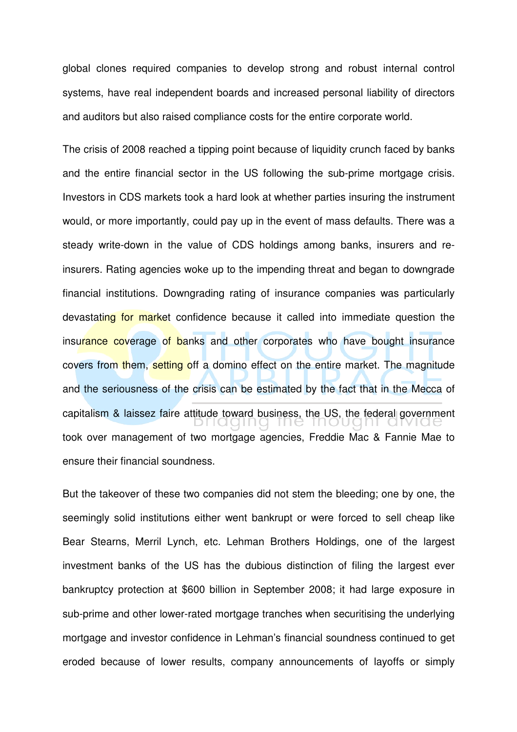global clones required companies to develop strong and robust internal control systems, have real independent boards and increased personal liability of directors and auditors but also raised compliance costs for the entire corporate world.

The crisis of 2008 reached a tipping point because of liquidity crunch faced by banks and the entire financial sector in the US following the sub-prime mortgage crisis. Investors in CDS markets took a hard look at whether parties insuring the instrument would, or more importantly, could pay up in the event of mass defaults. There was a steady write-down in the value of CDS holdings among banks, insurers and reinsurers. Rating agencies woke up to the impending threat and began to downgrade financial institutions. Downgrading rating of insurance companies was particularly devastating for market confidence because it called into immediate question the insurance coverage of banks and other corporates who have bought insurance covers from them, setting off a domino effect on the entire market. The magnitude and the seriousness of the crisis can be estimated by the fact that in the Mecca of capitalism & laissez faire attitude toward business, the US, the federal government took over management of two mortgage agencies, Freddie Mac & Fannie Mae to ensure their financial soundness.

But the takeover of these two companies did not stem the bleeding; one by one, the seemingly solid institutions either went bankrupt or were forced to sell cheap like Bear Stearns, Merril Lynch, etc. Lehman Brothers Holdings, one of the largest investment banks of the US has the dubious distinction of filing the largest ever bankruptcy protection at \$600 billion in September 2008; it had large exposure in sub-prime and other lower-rated mortgage tranches when securitising the underlying mortgage and investor confidence in Lehman's financial soundness continued to get eroded because of lower results, company announcements of layoffs or simply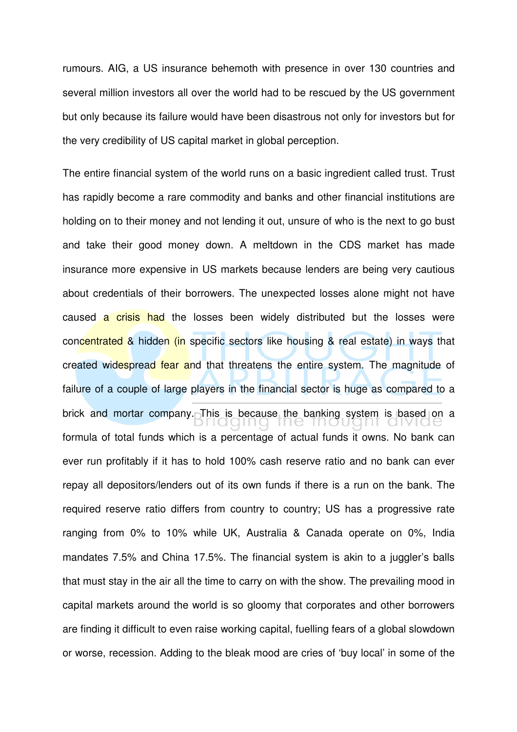rumours. AIG, a US insurance behemoth with presence in over 130 countries and several million investors all over the world had to be rescued by the US government but only because its failure would have been disastrous not only for investors but for the very credibility of US capital market in global perception.

The entire financial system of the world runs on a basic ingredient called trust. Trust has rapidly become a rare commodity and banks and other financial institutions are holding on to their money and not lending it out, unsure of who is the next to go bust and take their good money down. A meltdown in the CDS market has made insurance more expensive in US markets because lenders are being very cautious about credentials of their borrowers. The unexpected losses alone might not have caused a crisis had the losses been widely distributed but the losses were concentrated & hidden (in specific sectors like housing & real estate) in ways that created widespread fear and that threatens the entire system. The magnitude of failure of a couple of large players in the financial sector is huge as compared to a brick and mortar company. This is because the banking system is based on a formula of total funds which is a percentage of actual funds it owns. No bank can ever run profitably if it has to hold 100% cash reserve ratio and no bank can ever repay all depositors/lenders out of its own funds if there is a run on the bank. The required reserve ratio differs from country to country; US has a progressive rate ranging from 0% to 10% while UK, Australia & Canada operate on 0%, India mandates 7.5% and China 17.5%. The financial system is akin to a juggler's balls that must stay in the air all the time to carry on with the show. The prevailing mood in capital markets around the world is so gloomy that corporates and other borrowers are finding it difficult to even raise working capital, fuelling fears of a global slowdown or worse, recession. Adding to the bleak mood are cries of 'buy local' in some of the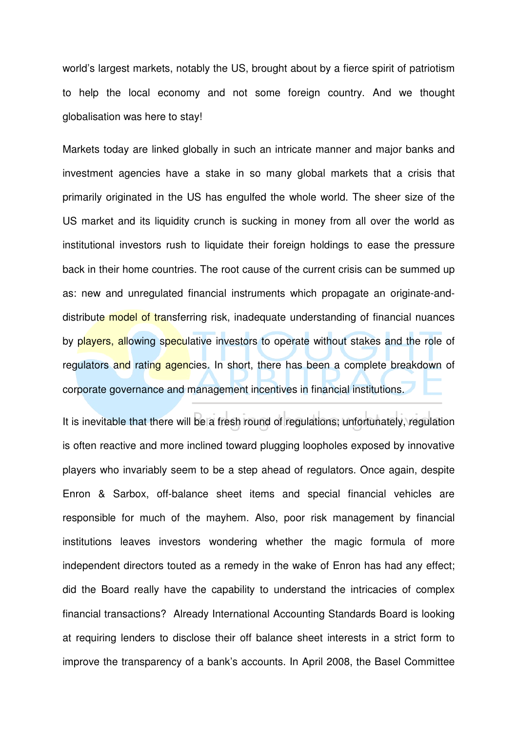world's largest markets, notably the US, brought about by a fierce spirit of patriotism to help the local economy and not some foreign country. And we thought globalisation was here to stay!

Markets today are linked globally in such an intricate manner and major banks and investment agencies have a stake in so many global markets that a crisis that primarily originated in the US has engulfed the whole world. The sheer size of the US market and its liquidity crunch is sucking in money from all over the world as institutional investors rush to liquidate their foreign holdings to ease the pressure back in their home countries. The root cause of the current crisis can be summed up as: new and unregulated financial instruments which propagate an originate-anddistribute model of transferring risk, inadequate understanding of financial nuances by players, allowing speculative investors to operate without stakes and the role of regulators and rating agencies. In short, there has been a complete breakdown of corporate governance and management incentives in financial institutions.

It is inevitable that there will be a fresh round of regulations; unfortunately, regulation is often reactive and more inclined toward plugging loopholes exposed by innovative players who invariably seem to be a step ahead of regulators. Once again, despite Enron & Sarbox, off-balance sheet items and special financial vehicles are responsible for much of the mayhem. Also, poor risk management by financial institutions leaves investors wondering whether the magic formula of more independent directors touted as a remedy in the wake of Enron has had any effect; did the Board really have the capability to understand the intricacies of complex financial transactions? Already International Accounting Standards Board is looking at requiring lenders to disclose their off balance sheet interests in a strict form to improve the transparency of a bank's accounts. In April 2008, the Basel Committee